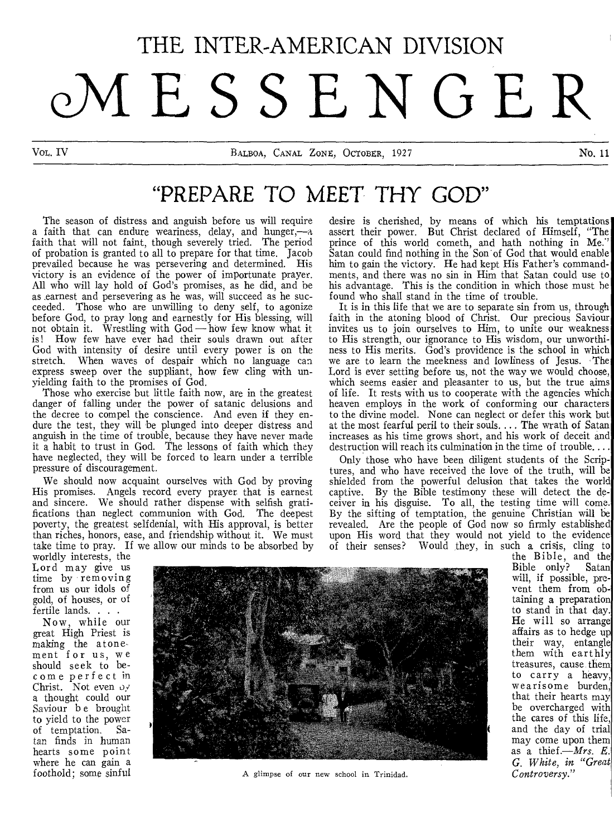# THE INTER-AMERICAN DIVISION **eMESSENGER**

VOL. IV BALBOA, CANAL ZONE, OCTOBER, 1927 No. 11

# "PREPARE TO MEET THY GOD"

The season of distress and anguish before us will require a faith that can endure weariness, delay, and hunger,—a faith that will not faint, though severely tried. The period of probation is granted to all to prepare for that time. Jacob prevailed because he was persevering and determined. His victory is an evidence of the power of importunate prayer. All who will lay hold of God's promises, as he did, and be as earnest and persevering as he was, will succeed as he succeeded. Those who are unwilling to deny self, to agonize before God, to pray long and earnestly for His blessing, will not obtain it. Wrestling with God - how few know what it is! How few have ever had their souls drawn out after God with intensity of desire until every power is on the stretch. When waves of despair which no language can express sweep over the suppliant, how few cling with unyielding faith to the promises of God.

Those who exercise but little faith now, are in the greatest danger of falling under the power of satanic delusions and the decree to compel the conscience. And even if they endure the test, they will be plunged into deeper distress and anguish in the time of trouble, because they have never made it a habit to trust in God. The lessons of faith which they have neglected, they will be forced to learn under a terrible pressure of discouragement.

We should now acquaint ourselves with God by proving His promises. Angels record every prayer that is earnest and sincere. We should rather dispense with selfish gratifications than neglect communion with God. The deepest poverty, the greatest selfdenial, with His approval, is better than riches, honors, ease, and friendship without it. We must take time to pray. If we allow our minds to be absorbed by

desire is cherished, by means of which his temptations assert their power. But Christ declared of Himself, "The prince of this world cometh, and hath nothing in Me." Satan could find nothing in the Son of God that would enable him to gain the victory. He had kept His Father's commandments, and there was no sin in Him that Satan could use to his advantage. This is the condition in which those must be found who shall stand in the time of trouble.

It is in this life that we are to separate sin from us, through faith in the atoning blood of Christ. Our precious Saviour invites us to join ourselves to Him, to unite our weakness to His strength, our ignorance to His wisdom, our unworthiness to His merits. God's providence is the school in which we are to learn the meekness and lowliness of Jesus. The Lord is ever setting before us, not the way we would choose, which seems easier and pleasanter to us, but the true aims of life. It rests with us to cooperate with the agencies which heaven employs in the work of conforming our characters to the divine model. None can neglect or defer this work but at the most fearful peril to their souls. ... The wrath of Satan increases as his time grows short, and his work of deceit and destruction will reach its culmination in the time of trouble....

Only those who have been diligent students of the Scriptures, and who have received the love of the truth, will be shielded from the powerful delusion that takes the world captive. By the Bible testimony these will detect the deceiver in his disguise. To all, the testing time will come. By the sifting of temptation, the genuine Christian will be revealed. Are the people of God now so firmly established upon His word that they would not yield to the evidence of their senses? Would they, in such a crisis, cling to

worldly interests, the Lord may give us time by removing from us our idols of gold, of houses, or of fertile lands. . . .

Now, while our great High Priest is making the atone-ment for us, we should seek to become perfect in Christ. Not even oy a thought could our Saviour be brought to yield to the power of temptation, Satan finds in human hearts some point where he can gain a foothold; some sinful



A glimpse of our new school in Trinidad.

the Bible, and the Bible only? Satan will, if possible, prevent them from obtaining a preparation to stand in that day. He will so arrange affairs as to hedge up their way, entangle them with earthly treasures, cause them to carry a heavy, wearisome burden, that their hearts may be overcharged with the cares of this life, and the day of trial may come upon them as a thief.—Mrs. *R. G. White, in "Great Controversy."*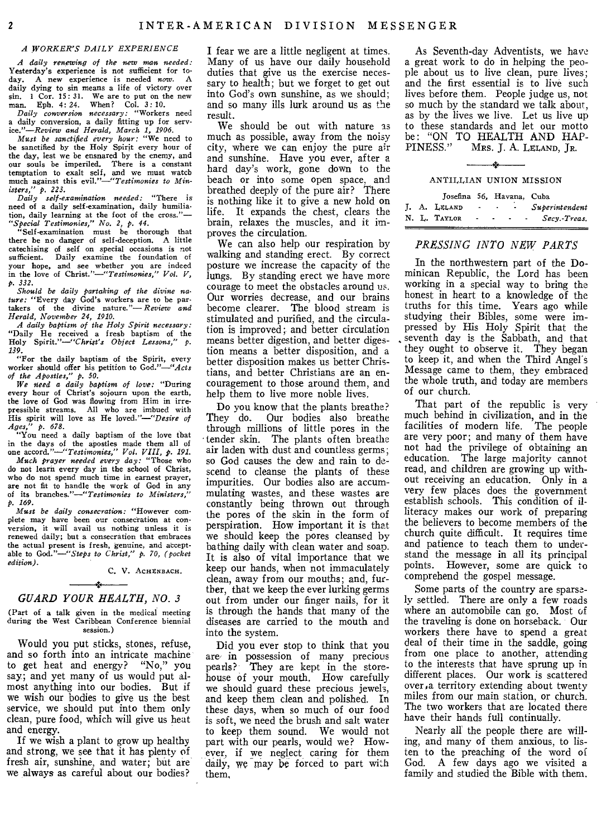#### *A WORKER'S DAILY EXPERIENCE*

*A daily renewing of the new man needed:*  Yesterday's experience is not sufficient for to-<br>day. A new experience is needed now. A day. A new experience is needed *now.* A daily dying to sin means a life of victory over sin. 1 Cor. 15: 31. We are to put on the new man. Eph. 4:24. When? Col. 3: 10.

*Daily conversion necessary:* "Workers need a daily conversion, a daily fitting up for serv-<br>ice."—*Review and Herald, March 1, 1906.*<br> *Must be sanctified by the Holy Spirit every hour of*<br>
be sanctified by the Holy Spirit every hour of

the day, lest we be ensnared by the enemy, and our souls be imperiled. There is a constant temptation to exalt self, and we must watch much against this evil."—"Testimonies to Min-<br>isters," p. 223.<br>*Daily self-examination needed:* "There is

need of a daily self-examination, daily humiliation, daily learning at the foot of the cross."— *"Special Testimonies," No. 2, p. 44.* 

"Self-examination must be thorough that there be no danger of self-deception. A little catechising of self on special occasions is not sufficient. Daily examine the foundation of your hope, and see whether you are indeed in the love of *Christ."*—"*Testimonies," Vol. V*, *p. 332.* 

*Should be daily partaking of the divine na-ture:* "Every day God's workers are to be partakers of the divine nature."— *Review and Herald, November 24, 1910.* 

*A daily baptism of the Holy Spirit necessary:*  "Daily He received a fresh baptism of the Holy Spirit."—"Christ's *Object Lessons," p. 139.* 

"For the daily baptism of the Spirit, every worker should offer his petition to *God."—"Acts of the Apostles," p. 50.* 

We need a daily baptism of love: "During every hour of Christ's sojourn upon the earth, the love of God was flowing from Him in irrepressible streams. All who are imbued with His spirit will love as He *loved."—"Desire of* 

*Ages,' p. 678.*  "You need a daily baptism of the love that in the days of the apostles made them all of one *accord."—"Testimonies," Vol. VIII, p. 191.* 

*Much prayer needed every day:* "Those who do not learn every day in the school of Christ, who do not spend much time in earnest prayer, are not fit to handle the work of God in any of its branches."—"Testimonies *to Ministers," p. 169.* 

*Must be daily consecration:* "However complete may have been our consecration at conversion, it will avail us nothing unless it is renewed daily; but a consecration that embraces the actual present is fresh, genuine, and acceptable to God."—"Steps *to Christ," p. 70, (pocket edition).* 

C. V. ACHENBACH.

## $\rightarrow$ *GUARD YOUR HEALTH, NO. 3*

(Part of a talk given in the medical meeting during the West Caribbean Conference biennial session.)

Would you put sticks, stones, refuse, and so forth into an intricate machine to get heat and energy? "No," you say; and yet many of us would put almost anything into our bodies. But if we wish our bodies to give us the best service, we should put into them only clean, pure food, which will give us heat and energy.

If we wish a plant to grow up healthy and strong, we see that it has plenty of fresh air, sunshine, and water; but are we always as careful about our bodies? I fear we are a little negligent at times. Many of us have our daily household duties that give us the exercise necessary to health; but we forget to get out into God's own sunshine, as we should; and so many ills lurk around us as the result.

We should be out with nature as much as possible, away from the noisy city, where we can enjoy the pure air and sunshine. Have you ever, after a hard day's work, gone down to the beach or into some open space, and breathed deeply of the pure air? There is nothing like it to give a new hold on life. It expands the chest, clears the brain, relaxes the muscles, and it improves the circulation.

We can also help our respiration by walking and standing erect. By correct posture we increase the capacity of the lungs. By standing erect we have more courage to meet the obstacles around us. Our worries decrease, and our brains become clearer. The blood stream is stimulated and purified, and the circulation is improved; and better circulation means better digestion, and better digestion means a better disposition, and a better disposition makes us better Christians, and better Christians are an encouragement to those around them, and help them to live more noble lives.

Do you know that the plants breathe? They do. Our bodies also breathe through millions of little pores in the tender skin. The plants often breathe air laden with dust and countless germs; so God causes the dew and rain to descend to cleanse the plants of these impurities. Our bodies also are accummulating wastes, and these wastes are constantly being thrown out through the pores of the skin in the form of perspiration. How important it is that we should keep the pores cleansed by bathing daily with clean water and soap. It is also of vital importance that we keep our hands, when not immaculately clean, away from our mouths; and, further, that we keep the ever lurking germs out from under our finger nails, for it is through the hands that many of the diseases are carried to the mouth and into the system.

Did you ever stop to think that you are, in possession of many precious pearls? They are kept in the storehouse of your mouth. How carefully we should guard these precious jewels, and keep them clean and polished. In these days, when so much of our food is soft, we need the brush and salt water to keep them sound. We would not part with our pearls, would we? However, if we neglect caring for them daily, we may be forced to part with them,

As Seventh-day Adventists, we have a great work to do in helping the people about us to live clean, pure lives; and the first essential is to live such lives before them. People judge us, not so much by the standard we talk about, as by the lives we live. Let us live up to these standards and let our motto be: "ON TO HEALTH AND HAP-<br>PINESS." Mrs. J. A. LELAND, JR. Mrs. J. A. Leland, Jr.

# $\longrightarrow$ ANTILLIAN UNION MISSION

|  | Josefina 56, Havana, Cuba |                 |                 |                                 |
|--|---------------------------|-----------------|-----------------|---------------------------------|
|  | J. A. LELAND              | and the company | $\sim 10^{-11}$ | Superintendent                  |
|  | N. L. TAYLOR              | $\sim$ $ \sim$  | $\sim$          | Secy. Treas.<br><b>Contract</b> |

#### *PRESSING INTO NEW PARTS*

In the northwestern part of the Dominican Republic, the Lord has been working in a special way to bring the honest in heart to a knowledge of the truths for this time. Years ago while studying their Bibles, some were impressed by His Holy Spirit that the seventh day is the Sabbath, and that they ought to observe it. They began to keep it, and when the Third Angel's Message came to them, they embraced the whole truth, and today are members of our church.

That part of the republic is very much behind in civilization, and in the facilities of modern life. The people are very poor; and many of them have not had the privilege of obtaining an education. The large majority cannot read, and children are growing up without receiving an education. Only in a very few places does the government establish schools. This condition of illiteracy makes our work of preparing the believers to become members of the church quite difficult. It requires time and patience to teach them to understand the message in all its principal points. However, some are quick to comprehend the gospel message.

Some parts of the country are sparsely settled. There are only a few roads where an automobile can go. Most of the traveling is done on horseback. Our workers there have to spend a great deal of their time in the saddle, going from one place to another, attending to the interests that have sprung up in different places. Our work is scattered over *,a* territory extending about twenty miles from our main station, or church. The two workers that are located there have their hands full continually.

Nearly all the people there are willing, and many of them anxious, to listen to the preaching of the word of God. A few days ago we visited a family and studied the Bible with them.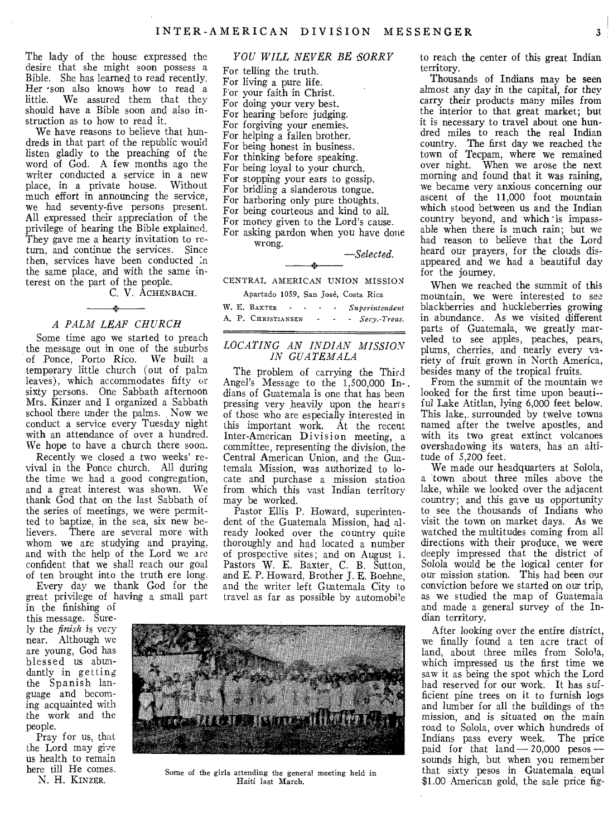The lady of the house expressed the desire that she might soon possess a Bible. She has learned to read recently. Her 'son also knows how to read a little. We assured them that they should have a Bible soon and also instruction as to how to read it.

We have reasons to believe that hundreds in that part of the republic would listen gladly to the preaching of the word of God. A few months ago the writer conducted a service in a new place, in a private house. Without much effort in announcing the service, we had seventy-five persons present. All expressed their appreciation of the privilege of hearing the Bible explained. They gave me a hearty invitation to return, and continue the services. Since then, services have been conducted in the same place, and with the same interest on the part of the people.

C. V. ACHENBACH.

#### *A PALM LEAP CHURCH*

Some time ago we started to preach the message out in one of the suburbs of Ponce, Porto Rico. We built a temporary little church (out of palm leaves), which accommodates fifty or sixty persons. One Sabbath afternoon Mrs. Kinzer and I organized a Sabbath school there under the palms. Now we conduct a service every Tuesday night with an attendance of over a hundred. We hope to have a church there soon.

Recently we closed a two weeks' revival in the Ponce church. All during the time we had a good congregation, and a great interest was shown. We thank God that on the last Sabbath of the series of meetings, we were permitted to baptize, in the sea, six new believers. There are several more with whom we are studying and praying, and with the help of the Lord we are confident that we shall reach our goal of ten brought into the truth ere long.

Every day we thank God for the great privilege of having a small part

in the finishing of this message. Surely the *finish* is very near. Although we are young, God has blessed us abundantly in getting the Spanish language and becoming acquainted with the work and the people.

Pray for us, that the Lord may give us health to remain here till He comes. N. H. KINZER.

#### *YOU WILL NEVER BE ;SORRY*

For telling the truth. For living a pure life. For your faith in Christ. For doing your very best. For hearing before judging. For forgiving your enemies. For helping a fallen brother. For being honest in business. For thinking before speaking. For being loyal to your church. For stopping your ears to gossip. For bridling a slanderous tongue. For harboring only pure thoughts. For being courteous and kind to all. For money given to the Lord's cause. For asking pardon when you have done wrong.

*—Selected.* 

CENTRAL AMERICAN UNION MISSION

|  | Apartado 1059, San José, Costa Rica |  |  |                                   |
|--|-------------------------------------|--|--|-----------------------------------|
|  |                                     |  |  | W. E. BAXTER - - - Superintendent |
|  | A. P. CHRISTIANSEN                  |  |  | - - - Secy.-Treas.                |

#### *LOCATING AN INDIAN MISSION IN GUATEMALA*

The problem of carrying the Third Angel's Message to the 1,500,000 In- . dians of Guatemala is one that has been pressing very heavily upon the hearts of those who are especially interested in this important work. At the recent Inter-American Division meeting, a committee, representing the division, the Central American Union, and the Guatemala Mission, was authorized to locate and purchase a mission station from which this vast Indian territory may be worked.

Pastor Ellis P. Howard, superintendent of the Guatemala Mission, had already looked over the country quite thoroughly and had located a number of prospective sites; and on August 1. Pastors W. E. Baxter, C. B. Sutton, and E. P. Howard, Brother J. E. Boehne, and the writer left Guatemala City to travel as far as possible by automobile



Some of the girls attending the general meeting held in Haiti last March.

to reach the center of this great Indian. territory.

Thousands of Indians may be seen almost any day in the capital, for they carry their products many miles from the interior to that great market; but it is necessary to travel about one hundred miles to reach the real Indian country. The first day we reached the town of Tecpam, where we remained over night. When we arose the next morning and found that it was raining, we became very anxious concerning our ascent of the 11,000 foot mountain which stood between us and the Indian country beyond, and which is impassable when there is much rain; but we had reason to believe that the Lord heard our prayers, for the clouds disappeared and we had a beautiful day for the journey.

When we reached the summit of this mountain, we were interested to see blackberries and huckleberries growing in abundance. As we visited different parts of Guatemala, we greatly marveled to see apples, peaches, pears, plums, cherries, and nearly every variety of fruit grown in North America, besides many of the tropical fruits.

From the summit of the mountain we looked for the first time upon beautiful Lake Atitlan, lying 6,000 feet below. This lake, surrounded by twelve towns named after the twelve apostles, and with its two great extinct volcanoes overshadowing *its* waters, has an altitude of 5,200 feet.

We made our headquarters at Solola, a town about three miles above the lake, while we looked over the adjacent country; and this gave us opportunity to see the thousands of Indians who visit the town on market days. As we watched the multitudes coming from all directions with their produce, we were deeply impressed that the district of Solola would be the logical center for our mission station. This had been our conviction before we started on our trip, as we studied the map of Guatemala and made a general survey of the Indian territory.

After looking over the entire district, we finally found a ten acre tract of land, about three miles from Solola, which impressed us the first time we saw it as being the spot which the Lord had reserved for our work. It has sufficient pine trees on it to furnish logs and lumber for all the buildings of the mission, and is situated on the main road to Solola, over which hundreds of Indians pass every week. The price paid for that  $land -20,000$  pesos -sounds high, but when you remember that sixty pesos in Guatemala equal \$1.00 American gold, the sale price fig-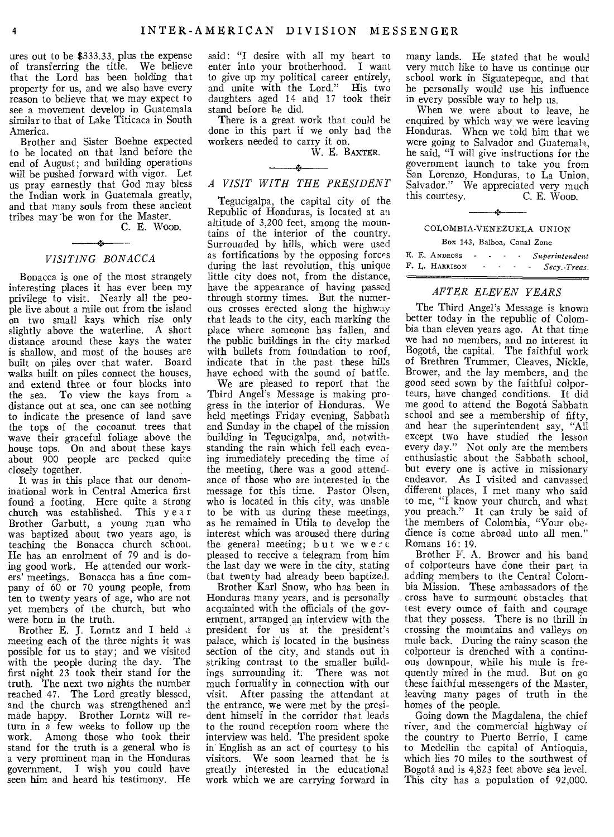ures out to be \$333.33, plus the expense of transferring the title. We believe that the Lord has been holding that property for us, and we also have every reason to believe that we may expect to see a movement develop in Guatemala similar to that of Lake Titicaca in South America.

Brother and Sister Boehne expected to be located on that land before the end of August; and building operations will be pushed forward with vigor. Let us pray earnestly that God may bless the Indian work in Guatemala greatly, and that many souls from these ancient tribes may "be won for the Master.

C. E. Woon.

# $\rightarrow$ *VISITING BONACCA*

Bonacca is one of the most strangely interesting places it has ever been my privilege to visit. Nearly all the people live about a mile out from the island on two small kays which rise only slightly above the waterline. A short distance around these kays the water is shallow, and most of the houses are built on piles over that water. Board walks built on piles connect the houses, and extend three or four blocks into the sea. To view the kays from a distance out at sea, one can see nothing to indicate the presence of land save the tops of the cocoanut trees that wave their graceful foliage above the house tops. On and about these kays about 900 people are packed quite closely together.

It was in this place that our denominational work in Central America first found a footing. Here quite a strong church was established. This year Brother Garbutt, a young man who was baptized about two years ago, is teaching the Bonacca church school. He has an enrolment of 79 and is doing good work. He attended our workers' meetings. Bonacca has a fine company of 60 or 70 young people, from ten to twenty years of age, who are not yet members of the church, but who were born in the truth.

Brother E. J. Lorntz and I held a meeting each of the three nights it was possible for us to stay; and we visited with the people during the day. The first night 23 took their stand for the truth. The next two nights the number reached 47. The Lord greatly blessed, and the church was strengthened and made happy. Brother Lorntz will return in a few weeks to follow up the work. Among those who took their stand for the truth is a general who is a very prominent man in the Honduras government. I wish you could have seen him and heard his testimony. He

said: "I desire with all my heart to enter into your brotherhood. I want to give up my political career entirely, and unite with the Lord." His two daughters aged 14 and 17 took their stand before he did.

There is a great work that could be done in this part if we only had the workers needed to carry it on.

W. E. BAXTER.

## <sup>A</sup>*VISIT WITH THE PRESIDENT*

Tegucigalpa, the capital city of the Republic of Honduras, is located at an altitude of 3,200 feet, among the mountains of the interior of the country. Surrounded by hills, which were used as fortifications by the opposing forces during the last revolution, this unique little city does not, from the distance, have the appearance of having passed through stormy times. But the numerous crosses erected along the highway that leads to the city, each marking the place where someone has fallen, and the public buildings in the city marked with bullets from foundation to roof, indicate that in the past these hills have echoed with the sound of battle.

We are pleased to report that the Third Angel's Message is making progress in the interior of Honduras. We held meetings Friday evening, Sabbath and Sunday in the chapel of the mission building in Tegucigalpa, and, notwithstanding the rain which fell each evening immediately preceding the time of the meeting, there was a good attendance of those who are interested in the message for this time. Pastor Olsen, who is located in this city, was unable to be with us during these meetings, as he remained in Utila to develop the interest which was aroused there during the general meeting; but we we  $\epsilon$ pleased to receive a telegram from him the last day we were in the city, stating that twenty had already been baptized.

Brother Karl Snow, who has been in Honduras many years, and is personally acquainted with the officials of the government, arranged an interview with the president for us at the president's palace, which is located in the business section of the city, and stands out in striking contrast to the smaller buildings surrounding it. There was not much formality in connection with our visit. After passing the attendant at the entrance, we were met by the president himself in the corridor that leads to the round reception room where the interview was held. The president spoke in English as an act of courtesy to his visitors. We soon learned that he is greatly interested in the educational work which we are carrying forward in

many lands. He stated that he would very much like to have us continue our school work in Siguatepeque, and that he personally would use his influence in every possible way to help us.

When we were about to leave, he enquired by which way we were leaving Honduras. When we told him that we were going to Salvador and Guatemala, he said, "I will give instructions for the government launch to take you from San Lorenzo, Honduras, to La Union, Salvador." We appreciated very much this courtesy. C. E. WOOD.

# مالد COLOMBIA-VENEZUELA UNION

|  |                |                  |  | Box 143, Balboa, Canal Zone          |
|--|----------------|------------------|--|--------------------------------------|
|  |                |                  |  | E. E. ANDROSS - - - - Superintendent |
|  | F. L. HARRISON | <b>All Cards</b> |  | - Secy Treas.                        |

## *AFTER ELEVEN YEARS*

The Third Angel's Message is known better today in the republic of Colombia than eleven years ago. At that time we had no members, and no interest in Bogota, the capital. The faithful work of Brethren Trummer, Cleaves, Nickle, Brower, and the lay members, and the good seed sown by the faithful colporteurs, have changed conditions. It did me good to attend the Bogota Sabbath school and see a membership of fifty, and hear the superintendent say, "All except two have studied the lesson every day." Not only are the members enthusiastic about the Sabbath school, but every one is active in missionary endeavor. As I visited and canvassed different places, I met many who said to me, "I know your church, and what you preach." It can truly be said of the members of Colombia, "Your obedience is come abroad unto all men." Romans 16: 19.

Brother F. A. Brower and his band of colporteurs have done their part *in*  adding members to the Central Colombia Mission. These ambassadors of the cross have to surmount obstacles that test every ounce of faith and courage that they possess. There is no thrill in crossing the mountains and valleys on mule back. During the rainy season the colporteur is drenched with a continuous downpour, while his mule is frequently mired in the mud. But on go these faithful messengers of the Master, leaving many pages of truth in the homes of the people.

Going down the Magdalena, the chief river, and the commercial highway of the country to Puerto Berrio, I came to Medellin the capital of Antioquia, which lies 70 miles to the southwest of Bogota and is 4,823 feet above sea level. This city has a population of 92,000.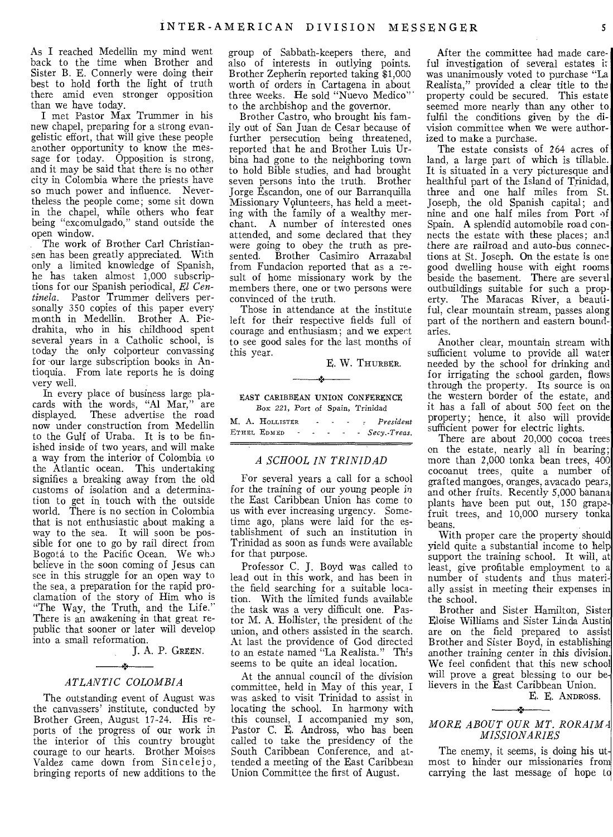As I reached Medellin my mind went back to the time when Brother and Sister B. E. Connerly were doing their best to hold forth the light of truth there amid even stronger opposition than we have today.

I met Pastor Max Trummer in his new chapel, preparing for a strong evangelistic effort, that will give these people another opportunity to know the message for today. Opposition is strong, and it may be said that there is no other city in Colombia where the priests have so much power and influence. Nevertheless the people come; some sit down in the chapel, while others who fear being "excomulgado," stand outside the open window.

The work of Brother Carl Christiansen has been greatly appreciated. With only a limited knowledge of Spanish, he has taken almost 1,000 subscriptions for our Spanish periodical, *El Centinela.* Pastor Trummer delivers personally 350 copies of this paper every month in Medellin. Brother A. Piedrahita, who in his childhood spent several years in a Catholic school, is today the only colporteur convassing for our large subscription books in Antioquia. From late reports he is doing very well.

In every place of business large placards with the words, "Al Mar," are<br>displayed. These advertise the road These advertise the road now under construction from Medellin to the Gulf of Uraba. It is to be finished inside of two years, and will make a way from the interior of Colombia to the Atlantic ocean. This undertaking signifies a breaking away from the old customs of isolation and a determination to get in touch with the outside world. There is no section in Colombia that is not enthusiastic about making a way to the sea. It will soon be possible for one to go by rail direct from Bogotá to the Pacific Ocean. We who believe in the soon coming of Jesus can see in this struggle for an open way to the sea, a preparation for the rapid proclamation of the story of Him who is "The Way, the Truth, and the Life." There is an awakening in that great republic that sooner or later will develop into a small reformation.

J. A. P. GREEN.

# $\longrightarrow$ *ATLANTIC COLOMBIA*

The outstanding event of August was the canvassers' institute, conducted by Brother Green, August 17-24. His reports of the progress of our work in the interior of this country brought courage to our hearts. Brother Moises Valdez came down from Sincelejo, bringing reports of new additions to the

group of Sabbath-keepers there, and also of interests in outlying points. Brother Zepherin reported taking \$1,000 worth of orders in Cartagena in about three weeks. He sold "Nuevo Medico"' to the archbishop and the governor.

Brother Castro, who brought his family out of San Juan de Cesar because of further persecution being threatened, reported that he and Brother Luis Urbina had gone to the neighboring town to hold Bible studies, and had brought seven persons into the truth. Brother Jorge Escandon, one of our Barranquilla Missionary Volunteers, has held a meeting with the family of a wealthy merchant. A number of interested ones attended, and some declared that they were going to obey the truth as presented. Brother Casimiro Arrazabal from Fundacion reported that as a result of home missionary work by the members there, one or two persons were convinced of the truth.

Those in attendance at the institute left for their respective fields full of courage and enthusiasm; and we expert to see good sales for the last months of this year.

E. W. THURBER.

EAST CARIBBEAN UNION CONTERENCE

|                 |  |                               |  |                 | Box 221, Port of Spain, Trinidad |
|-----------------|--|-------------------------------|--|-----------------|----------------------------------|
| M. A. HOLLISTER |  |                               |  |                 | President                        |
| Ethel Edmed     |  | the company of the company of |  | $\sim 10^{-11}$ | - Secv. Treas.                   |

#### *A SCHOOL IN TRINIDAD*

For several years a call for a school for the training of our young people in the East Caribbean Union has come to us with ever increasing urgency. Sometime ago, plans were laid for the establishment of such an institution in Trinidad as soon as funds were available for that purpose.

Professor C. J. Boyd was called to lead out in this work, and has been in the field searching for a suitable location. With the limited funds available the task was a very difficult one. Pastor M. A. Hollister, the president of the union, and others assisted in the search. At last the providence of God directed to an estate named "La Realista." This seems to be quite an ideal location.

At the annual council of the division committee, held in May of this year, I was asked to visit Trinidad to assist in locating the school. In harmony with this counsel, I accompanied my son, Pastor C. E. Andross, who has been called to take the presidency of the South Caribbean Conference, and attended a meeting of the East Caribbean Union Committee the first of August.

After the committee had made careful investigation of several estates it was unanimously voted to purchase "La Realista," provided a clear title to the property could be secured. This estate seemed more nearly than any other to fulfil the conditions given by the division committee when we were authorized to make a purchase.

The estate consists of 264 acres of land, a large part of which is tillable. It is situated in a very picturesque and healthful part of the Island of Trinidad, three and one half miles from St. Joseph, the old Spanish capital; and nine and one half miles from Port of Spain. A splendid automobile road connects the estate with these places; and there are railroad and auto-bus connections at St. Joseph. On the estate is one good dwelling house with eight rooms beside the basement. There are several outbuildings suitable for such a property. The Maracas River, a beautiful, clear mountain stream, passes along part of the northern and eastern boundaries.

Another clear, mountain stream with sufficient volume to provide all water needed by the school for drinking and for irrigating the school garden, flows through the property. Its source is on the western border of the estate, and it has a fall of about 500 feet on the property; hence, it also will provide sufficient power for electric lights.

There are about 20,000 cocoa trees on the estate, nearly all in bearing; more than 2,000 tonka bean trees, 400 cocoanut trees, quite a number of grafted mangoes, oranges, avacado pears, and other fruits. Recently 5,000 banana plants have been put out, 150 grapefruit trees, and 10,000 nursery tonka beans.

With proper care the property should yield quite a substantial income to help support the training school. It will, at least, give profitable employment to a number of students and thus materially assist in meeting their expenses in the school.

Brother and Sister Hamilton, Sister Eloise Williams and Sister Linda Austin are on the field prepared to assist Brother and Sister Boyd, in establishing another training center in this division. We feel confident that this new school will prove a great blessing to our believers in the East Caribbean Union.

E. E. ANDROSS.

#### *MORE ABOUT OUR MT. RORAIM4 MISSIONARIES*

The enemy, it seems, is doing his utmost to hinder our missionaries from carrying the last message of hope to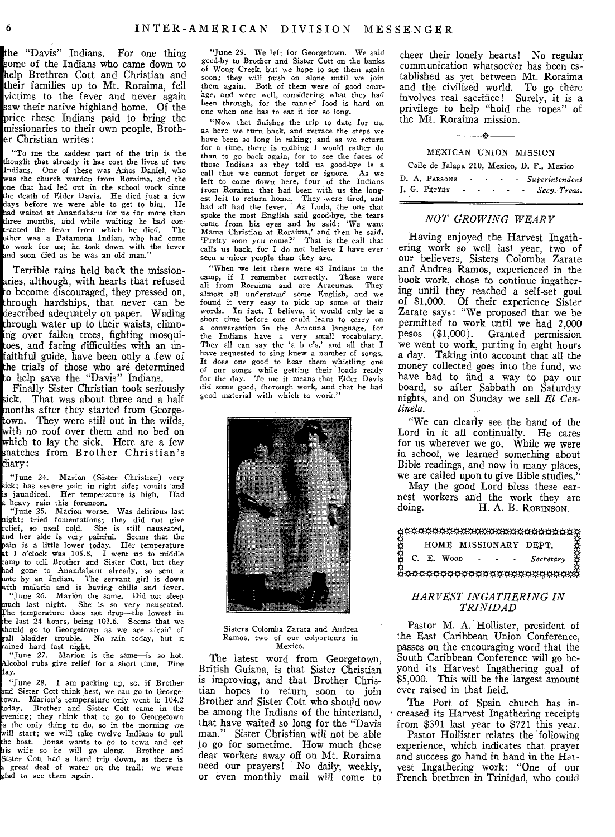the "Davis" Indians. For one thing some of the Indians who came down to help Brethren Cott and Christian and their families up to Mt. Roraima, fell victims to the fever and never again saw their native highland home. Of the price these Indians paid to bring the missionaries to their own people, Brother Christian writes:

"To me the saddest part of the trip is the thought that already it has cost the lives of two Indians. One of these was Amos Daniel, who was the church warden from Roraima, and the ne that had led out in the school work since the death of Elder Davis. He died just a few days before we were able to get to him. He had waited at Anandabaru for us for more than hree months, and while waiting he had conracted the fever from which he died. The ther was a Patamona Indian, who had come to work for us; he took down with the fever and soon died as he was an old man."

Terrible rains held back the missionries, although, with hearts that refused o become discouraged, they pressed on, hrough hardships, that never can be described adequately on paper. Wading hrough water up to their waists, climbng over fallen trees, fighting mosquitoes, and facing difficulties with an unaithful guide, have been only a few of he trials of those who are determined o help save the "Davis" Indians.

Finally Sister Christian took seriously sick. That was about three and a half months after they started from Georgeown. They were still out in the wilds, with no roof over them and no bed on hich to lay the sick. Here are a few natches from Brother Christian's diary:

"June 24. Marion (Sister Christian) very sick; has severe pain in right side; vomits and s jaundiced. Her temperature is high. Had heavy rain this forenoon.

"June 25. Marion worse. Was delirious last sight; tried fomentations; they did not give<br>elief, so used cold. She is still nauseated,<br>nd her side is very painful. Seems that the<br>ain is a little lower today. Her temperature<br> $t + 1$  o'clock was 105.8, I went up to mid ad gone to Anandabaru already, so sent a ote by an Indian. The servant girl is down ith malaria and is having chills and fever. "June 26. Marion the same. Did not sleep uch last night. She is so very nauseated. he temperature does not drop—the lowest in he last 24 hours, being 103.6. Seems that we hould go to Georgetown as we are afraid of • all bladder trouble. No rain today, but it rained hard last night.

"June 27. Marion is the same-is so hot. lcohol rubs give relief for a short time. Fine day.

"June 28. I am packing up, so, if Brother nd Sister Cott think best, we can go to Georgeown. Marion's temperature only went to 104.2 oday. Brother and Sister Cott came in the vening; they think that to go to Georgetown s the only thing to do, so in the morning we ill start; we will take twelve Indians to pull he boat. Jonas wants to go to town and get his wife so he will go along. Brother and Sister Cott had a hard trip down, as there is great deal of water on the trail; we were lad to see them again.

"June 29. We left for Georgetown. We said good-by to Brother and Sister Cott on the banks of Wong Creek, but we hope to see them again soon; they will push on alone until we join them again. Both of them were of good courage, and were well, considering what they had been through, for the canned food is hard on one when one has to eat it for so long.

"Now that finishes the trip to date for us, as here we turn back, and retrace the steps we have been so long in taking; and as we return for a time, there is nothing I would rather do than to go back again, for to see the faces of those Indians as they told us good-bye is a call that we cannot forget or ignore. As we left to come down here, four of the Indians from Roraima that had been with us the longest left to return home. They were tired, and<br>had all had the fever. As Luda, the one that<br>spoke the most English said good-bye, the tears<br>came from his eyes and he said: 'We want<br>Mama Christian at Roraima,' and then he sa `Pretty soon you come?' That is the call that calls us back, for I do not believe I have ever seen a 'nicer people than they are.

"When we left there were 43 Indians in the when we lett there were to converse the camp, if I remember correctly. These were all from Roraima and are Aracunas. They almost all understand some English, and we found it very easy to pick up some of their words. In fact, I believe, it would only be a short time before one could learn to carry on a conversation in the Aracuna language, for the Indians have a very small vocabulary. They all can say the 'a b c's,' and all that I have requested to sing knew a number of songs. It does one good to hear them whistling one of our songs while getting their loads ready for the day. To me it means that Elder Davis did some good, thorough work, and that he had good material with which to work."



Sisters Colomba Zarata and Andrea Ramos, two of our colporteurs in Mexico.

The latest word from Georgetown, British Guiana, is that Sister Christian is improving, and that Brother Christian hopes to return soon to join Brother and Sister Cott who should now be among the Indians of the hinterland, that have waited so long for the "Davis man." Sister Christian will not be able .to go for sometime. How much these dear workers away off on Mt. Roraima need our prayers! No daily, weekly, or even monthly mail will come to

cheer their lonely hearts! No regular communication whatsoever has been established as yet between Mt. Roraima and the civilized world. To go there involves real sacrifice! Surely, it is a privilege to help "hold the ropes" of the Mt. Roraima mission.

# -- 24 MEXICAN UNION MISSION

| Calle de Jalapa 210, Mexico, D. F., Mexico |  |  |  |  |  |
|--------------------------------------------|--|--|--|--|--|
| D. A. PARSONS - - - Superintendent         |  |  |  |  |  |
| J. G. PETTEY Secy.-Treas.                  |  |  |  |  |  |

#### *NOT GROWING WEARY*

Having enjoyed the Harvest Ingathering work so well last year, two of our believers, Sisters Colomba Zarate and Andrea Ramos, experienced in the book work, chose to continue ingathering until they reached a self-set goal of \$1,000. Of their experience Sister Zarate says: "We proposed that we be permitted to work until we had 2,000 pesos (\$1,000). Granted permission we went to work, putting in eight hours a day. Taking into account that all the money collected goes into the fund, we have had to find a way to pay our board, so after Sabbath on Saturday nights, and on Sunday we sell *El Centinela.* 

"We can clearly see the hand of the Lord in it all continually. He cares for us wherever we go. While we were in school, we learned something about Bible readings, and now in many places, we are called upon to give Bible studies."

May the good Lord bless these earnest workers and the work they are doing. H. A. B. ROBINSON.

|  |            |  |  | 00000000000000000000000000           |    |
|--|------------|--|--|--------------------------------------|----|
|  |            |  |  | HOME MISSIONARY DEPT.                |    |
|  | C. E. Woop |  |  | Secretary                            | õ. |
|  |            |  |  | <b>Danguan Bangunan Banguan Band</b> |    |

#### *HARVEST INGATHERING IN TRINIDAD*

Pastor M. A.' Hollister, president of the East Caribbean Union Conference, passes on the encouraging word that the South Caribbean Conference will go beyond its Harvest Ingathering goal of \$5,000. This will be the largest amount ever raised in that field.

The Port of Spain church has increased its Harvest Ingathering receipts from \$391 last year to \$721 this year.

Pastor Hollister relates the following experience, which indicates that prayer and success go hand in hand in the Ha/ vest Ingathering work: "One of our French brethren in Trinidad, who could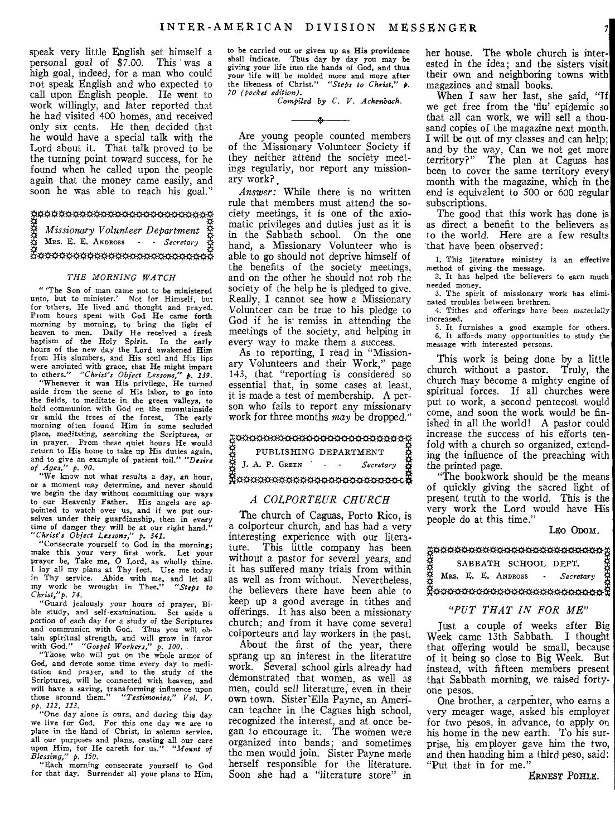speak very little English set himself a personal goal of \$7.00. This was a high goal, indeed, for a man who could not speak English and who expected to call upon English people. He went to work willingly, and later reported that he had visited 400 homes, and received only six cents. He then decided that he would have a special talk with the Lord about it. That talk proved to be the turning point toward success, for he found when he called upon the people again that the money came easily, and soon he was able to reach his goal."

*Missionary Volunteer Department*  MRS. E. E. ANDROSS - - *Secretary* 

#### *THE MORNING WATCH*

"'The Son of man came not to be ministered unto, but to minister.' Not for Himself, but for others, He lived and thought and prayed. From hours spent with God He came forth morning by morning, to bring the light of heaven to men. Daily He received a fresh haptism of the Holy Spirit. In the early hours of the mew day the Lord awakened Him from His slumbers, and His soul and His lips were anoi

aside from the scene of His labor, to go into the fields, to meditate in the green valleys, to hold communion with God nn the mountainside or amid the trees of the forest. The early morning often found Him in some secluded place, *meditating,* searching the Scriptures, or in prayer. From these quiet hours He would return to His home to take up His duties again, and to give an example of patient toil." *"Desire* of *Ages," p. 90.* <br>of *Ages," p. 90.* <br>"We know not what results a day, an

or a moment may determine, and never should we begin the day without committing our ways to our Heavenly Father. His angels are appointed to watch over us, and if we put ourselves under their guardianship, then in every *ill* be at our *right hand."*<br> *time of danger they will be at our right hand."*<br>
"Consecrate yourself to God in the morning;

make this your very first work. Let your prayer be, Take me, 0 Lord, as wholly thine. I lay all my plans at Thy feet. Use me today in Thy service. Abide with me, and let all my work be wrought in Thee." *"Steps to Christ,"p. 74.* 

"Guard jealously your hours of prayer, Bi-ble study, and self-examination. Set aside a *portion of* each day *for* a *study of the* Scriptures and communion with God. Thus you will obtain spiritual strength, and will grow in favor with God." *"Gospel Workers," p. 100.*  "Those who will put on the whole armor of

God, and devote some time every day to meditation and prayer, and to the study of the Scriptures, will be connected with heaven, and will have a saving, transforming influence upon those around them." *"Testimonies," Vol. V.* 

*pp. 112, 113.*  "One day alone is ours, and *during this day*  we live for God. For this one day we are to place in the hand of Christ, in solemn service. place in the hand of Christ, in solemn service, all our purposes and plans, casting all our care upon Him, for He careth for us." *"Mount of Blessing," p. 150.*  "Each morning consecrate yourself to God

for that day. Surrender all your plans to Him,

to be carried out or given up as His providence shall indicate. Thus day by day you may be giving your life into the hands of God, and thus your life will be molded more and more after the likeness of Christ." *"Steps to Christ," p. 70 (pocket edition).* 

*Compiled by C. V. Achenbach.* 

 $\longrightarrow$ 

Are young people counted members of the Missionary Volunteer Society if they neither attend the society meetings regularly, nor report any missionary work?

*Answer:* While there is no written rule that members must attend the society meetings, it is one of the axiomatic privileges and duties just as it is in the Sabbath school. On the one hand, a Missionary Volunteer who is able to go should not deprive himself of the benefits of the society meetings, and on the other he should not rob the society of the help he is pledged to give. Really, I cannot see how a Missionary Volunteer can be true to his pledge to God if he is remiss in attending the meetings of the society, and helping in every way to make them a success.

As to reporting, I read in "Missionary Volunteers and their Work," page 143, that "reporting is considered so essential that, in some cases at least, it is made a test of membership. A person who fails to report any missionary work for three months *may* be dropped."

| g <del>onnannannannannannannan</del> |
|--------------------------------------|
| PUBLISHING DEPARTMENT                |
| 00.010<br>Secretary                  |
| <b>Z</b> aaaaaaaaaaaaaaaaaaaaaaaa    |

#### *A COLPORTEUR CHURCH*

The church of Caguas, Porto Rico, is a colporteur church, and has had a very interesting experience with our literature. This little company has been without a pastor for several years, and it has suffered many trials from within as well as from without. Nevertheless, the believers there have been able to keep up a good average in tithes and offerings. It has also been a missionary church; and from it have come several colporteurs and lay workers in the past.

About the first of the year, there sprang up an interest in the literature work. Several school girls already had demonstrated that women, as well as men, could sell literature, even in their own town. Sister'Ella Payne, an American teacher in the Caguas high school, recognized the interest, and at once began to encourage it. The women were organized into bands; and sometimes the men would join. Sister Payne made herself responsible for the literature. Soon she had a "literature store" in

her house, The whole church is interested in the idea; and the sisters visit their own and neighboring towns with magazines and small books.

When I saw her last, she said, "If we get free from the 'flu' epidemic so that all can work, we will sell a thousand copies of the magazine next month. I will be out of my classes and can help; and by the way, Can we not get more territory?" The plan at Caguas has been to cover the same territory every month with the magazine, which in the end is equivalent to 500 or 600 regular subscriptions.

The good that this work has done is as direct a benefit to the believers as to the world. Here are a few results that have been observed:

1. This literature ministry is an effective method of giving the message.

2. It has helped the believers to earn much needed money. 3. The spirit of missionary work has elimi-

nated troubles between brethren. 4. Tithes and *offerings have* been materially

increased.

5. It furnishes a good example for others. 6. It affords many opportunities to study the message with interested persons.

This work is being done by a little church without a pastor. Truly, the church may become a mighty engine of spiritual forces. If all churches were put to work, a second pentecost would come, and soon the work would be finished in all the world! A pastor could increase the success of his efforts tenfold with a church so organized, extending the influence of the preaching with the printed page.

"The bookwork should be the means of quickly giving the sacred light of present truth to the world. This is the very work the Lord would have His people do at this time.'

LEO ODOM.

# gaasaasaasaasaasaasaasaasaa

SABBATH SCHOOL DEPT, MRS. E. E. ANDROSS - *Secretary*  Haaassaaaassa saanaanaanaan H

#### *"PUT THAT IN FOR ME"*

Just a couple of weeks after Big Week came 13th Sabbath. I thought that offering would be small, because of it being so close to Big Week. But instead, with fifteen members present that Sabbath morning, we raised fortyone pesos.

One brother, a carpenter, who earns a very meager wage, asked his employer for two pesos, in advance, to apply on his home in the new earth. To his surprise, his employer gave him the two, and then handing him a third peso, said: "Put that in for me."

ERNEST POHLE.